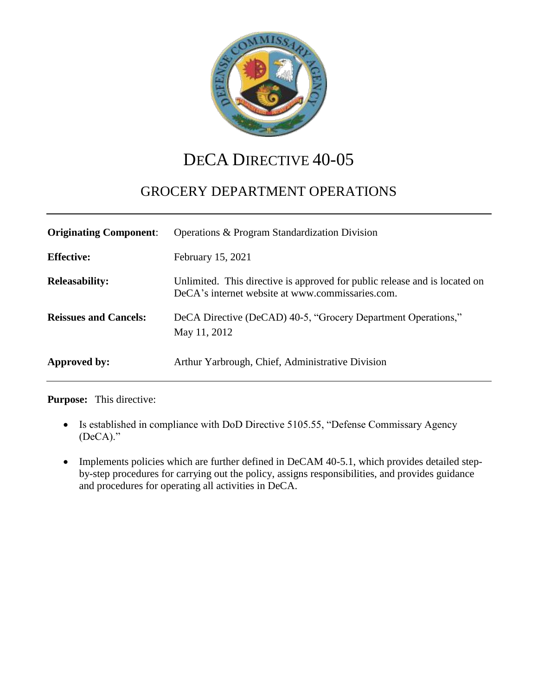

# DECA DIRECTIVE 40-05

## GROCERY DEPARTMENT OPERATIONS

| <b>Originating Component:</b> | Operations & Program Standardization Division                                                                                  |
|-------------------------------|--------------------------------------------------------------------------------------------------------------------------------|
| <b>Effective:</b>             | February 15, 2021                                                                                                              |
| <b>Releasability:</b>         | Unlimited. This directive is approved for public release and is located on<br>DeCA's internet website at www.commissaries.com. |
| <b>Reissues and Cancels:</b>  | DeCA Directive (DeCAD) 40-5, "Grocery Department Operations,"<br>May 11, 2012                                                  |
| Approved by:                  | Arthur Yarbrough, Chief, Administrative Division                                                                               |

**Purpose:** This directive:

- Is established in compliance with DoD Directive 5105.55, "Defense Commissary Agency (DeCA)."
- Implements policies which are further defined in DeCAM 40-5.1, which provides detailed stepby-step procedures for carrying out the policy, assigns responsibilities, and provides guidance and procedures for operating all activities in DeCA.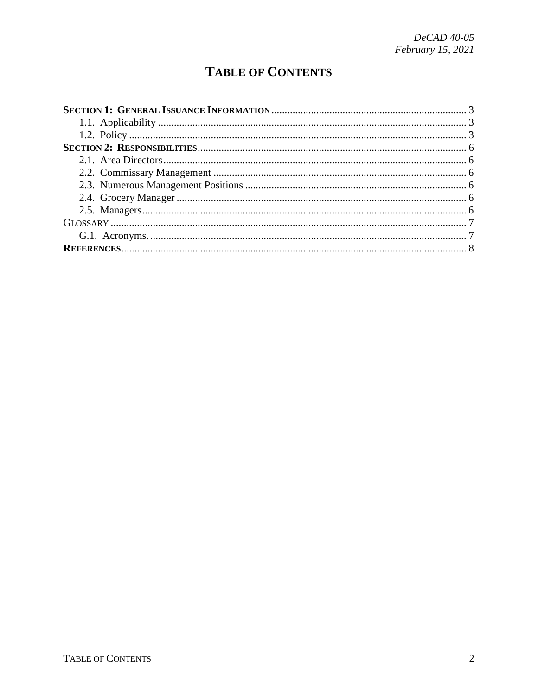# **TABLE OF CONTENTS**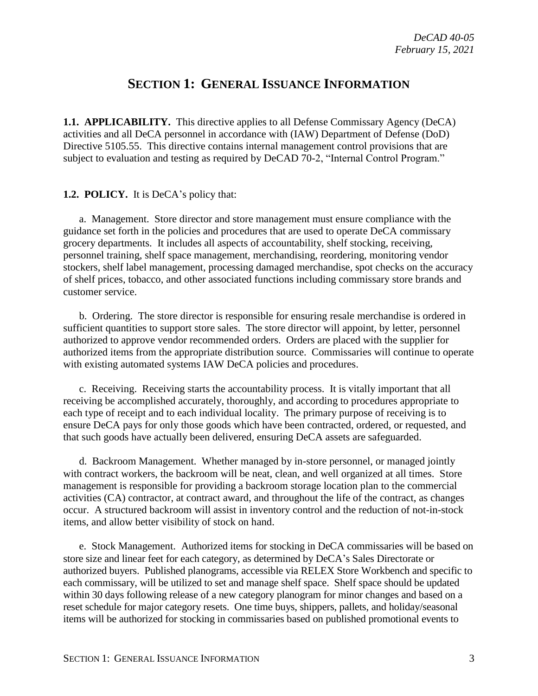## **SECTION 1: GENERAL ISSUANCE INFORMATION**

<span id="page-2-1"></span><span id="page-2-0"></span>**1.1. APPLICABILITY.** This directive applies to all Defense Commissary Agency (DeCA) activities and all DeCA personnel in accordance with (IAW) Department of Defense (DoD) Directive 5105.55. This directive contains internal management control provisions that are subject to evaluation and testing as required by DeCAD 70-2, "Internal Control Program."

#### <span id="page-2-2"></span>**1.2. POLICY.** It is DeCA's policy that:

a. Management. Store director and store management must ensure compliance with the guidance set forth in the policies and procedures that are used to operate DeCA commissary grocery departments. It includes all aspects of accountability, shelf stocking, receiving, personnel training, shelf space management, merchandising, reordering, monitoring vendor stockers, shelf label management, processing damaged merchandise, spot checks on the accuracy of shelf prices, tobacco, and other associated functions including commissary store brands and customer service.

b. Ordering. The store director is responsible for ensuring resale merchandise is ordered in sufficient quantities to support store sales. The store director will appoint, by letter, personnel authorized to approve vendor recommended orders. Orders are placed with the supplier for authorized items from the appropriate distribution source. Commissaries will continue to operate with existing automated systems IAW DeCA policies and procedures.

c. Receiving. Receiving starts the accountability process. It is vitally important that all receiving be accomplished accurately, thoroughly, and according to procedures appropriate to each type of receipt and to each individual locality. The primary purpose of receiving is to ensure DeCA pays for only those goods which have been contracted, ordered, or requested, and that such goods have actually been delivered, ensuring DeCA assets are safeguarded.

d. Backroom Management. Whether managed by in-store personnel, or managed jointly with contract workers, the backroom will be neat, clean, and well organized at all times. Store management is responsible for providing a backroom storage location plan to the commercial activities (CA) contractor, at contract award, and throughout the life of the contract, as changes occur. A structured backroom will assist in inventory control and the reduction of not-in-stock items, and allow better visibility of stock on hand.

e. Stock Management. Authorized items for stocking in DeCA commissaries will be based on store size and linear feet for each category, as determined by DeCA's Sales Directorate or authorized buyers. Published planograms, accessible via RELEX Store Workbench and specific to each commissary, will be utilized to set and manage shelf space. Shelf space should be updated within 30 days following release of a new category planogram for minor changes and based on a reset schedule for major category resets. One time buys, shippers, pallets, and holiday/seasonal items will be authorized for stocking in commissaries based on published promotional events to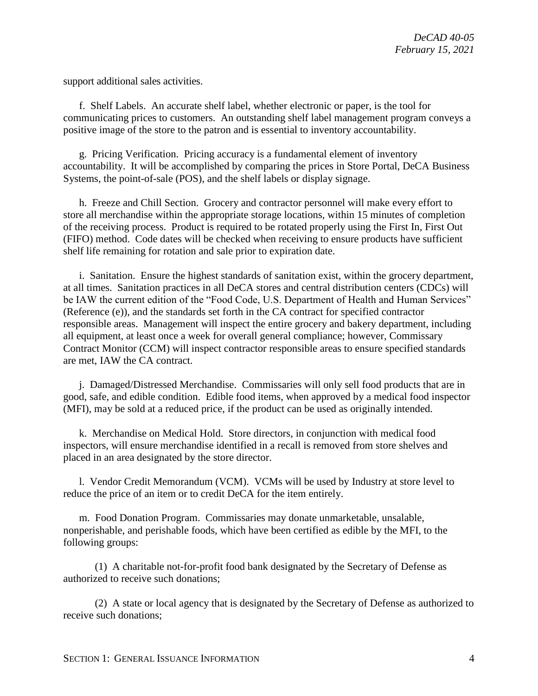support additional sales activities.

f. Shelf Labels. An accurate shelf label, whether electronic or paper, is the tool for communicating prices to customers. An outstanding shelf label management program conveys a positive image of the store to the patron and is essential to inventory accountability.

g. Pricing Verification. Pricing accuracy is a fundamental element of inventory accountability. It will be accomplished by comparing the prices in Store Portal, DeCA Business Systems, the point-of-sale (POS), and the shelf labels or display signage.

h. Freeze and Chill Section. Grocery and contractor personnel will make every effort to store all merchandise within the appropriate storage locations, within 15 minutes of completion of the receiving process. Product is required to be rotated properly using the First In, First Out (FIFO) method. Code dates will be checked when receiving to ensure products have sufficient shelf life remaining for rotation and sale prior to expiration date.

i. Sanitation. Ensure the highest standards of sanitation exist, within the grocery department, at all times. Sanitation practices in all DeCA stores and central distribution centers (CDCs) will be IAW the current edition of the "Food Code, U.S. Department of Health and Human Services" (Reference (e)), and the standards set forth in the CA contract for specified contractor responsible areas. Management will inspect the entire grocery and bakery department, including all equipment, at least once a week for overall general compliance; however, Commissary Contract Monitor (CCM) will inspect contractor responsible areas to ensure specified standards are met, IAW the CA contract.

j. Damaged/Distressed Merchandise. Commissaries will only sell food products that are in good, safe, and edible condition. Edible food items, when approved by a medical food inspector (MFI), may be sold at a reduced price, if the product can be used as originally intended.

k. Merchandise on Medical Hold. Store directors, in conjunction with medical food inspectors, will ensure merchandise identified in a recall is removed from store shelves and placed in an area designated by the store director.

l. Vendor Credit Memorandum (VCM). VCMs will be used by Industry at store level to reduce the price of an item or to credit DeCA for the item entirely.

m. Food Donation Program. Commissaries may donate unmarketable, unsalable, nonperishable, and perishable foods, which have been certified as edible by the MFI, to the following groups:

(1) A charitable not-for-profit food bank designated by the Secretary of Defense as authorized to receive such donations;

(2) A state or local agency that is designated by the Secretary of Defense as authorized to receive such donations;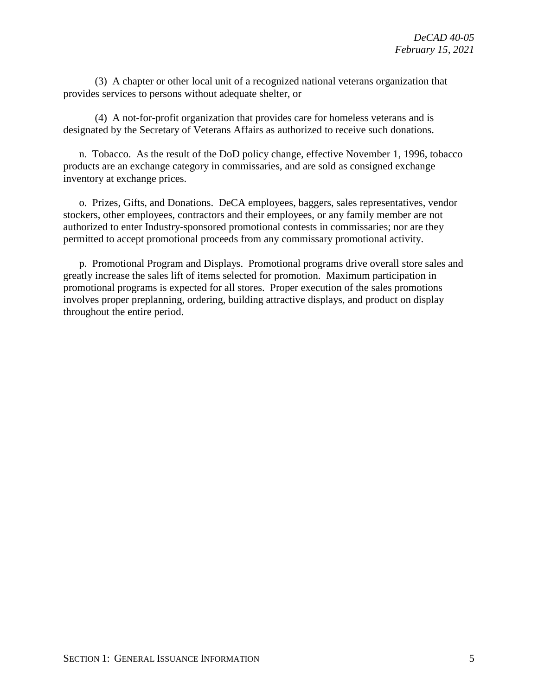(3) A chapter or other local unit of a recognized national veterans organization that provides services to persons without adequate shelter, or

(4) A not-for-profit organization that provides care for homeless veterans and is designated by the Secretary of Veterans Affairs as authorized to receive such donations.

n. Tobacco. As the result of the DoD policy change, effective November 1, 1996, tobacco products are an exchange category in commissaries, and are sold as consigned exchange inventory at exchange prices.

o. Prizes, Gifts, and Donations. DeCA employees, baggers, sales representatives, vendor stockers, other employees, contractors and their employees, or any family member are not authorized to enter Industry-sponsored promotional contests in commissaries; nor are they permitted to accept promotional proceeds from any commissary promotional activity.

p. Promotional Program and Displays. Promotional programs drive overall store sales and greatly increase the sales lift of items selected for promotion. Maximum participation in promotional programs is expected for all stores. Proper execution of the sales promotions involves proper preplanning, ordering, building attractive displays, and product on display throughout the entire period.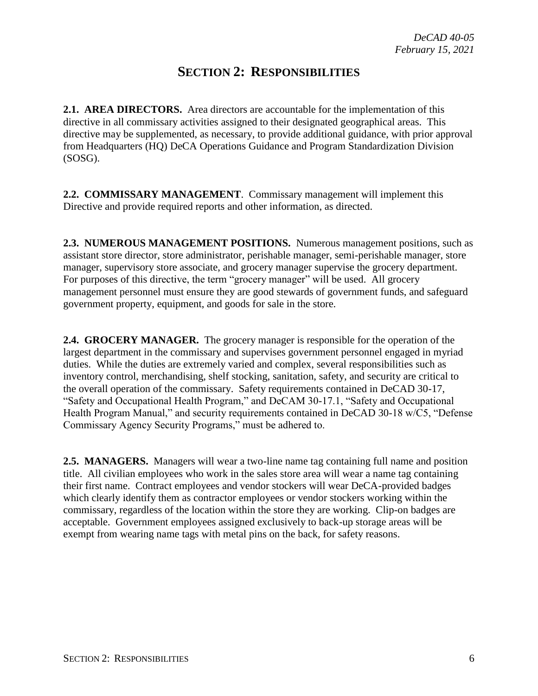## **SECTION 2: RESPONSIBILITIES**

<span id="page-5-0"></span>**2.1. AREA DIRECTORS.** Area directors are accountable for the implementation of this directive in all commissary activities assigned to their designated geographical areas. This directive may be supplemented, as necessary, to provide additional guidance, with prior approval from Headquarters (HQ) DeCA Operations Guidance and Program Standardization Division (SOSG).

**2.2. COMMISSARY MANAGEMENT**. Commissary management will implement this Directive and provide required reports and other information, as directed.

**2.3. NUMEROUS MANAGEMENT POSITIONS.** Numerous management positions, such as assistant store director, store administrator, perishable manager, semi-perishable manager, store manager, supervisory store associate, and grocery manager supervise the grocery department. For purposes of this directive, the term "grocery manager" will be used. All grocery management personnel must ensure they are good stewards of government funds, and safeguard government property, equipment, and goods for sale in the store.

**2.4. GROCERY MANAGER.** The grocery manager is responsible for the operation of the largest department in the commissary and supervises government personnel engaged in myriad duties. While the duties are extremely varied and complex, several responsibilities such as inventory control, merchandising, shelf stocking, sanitation, safety, and security are critical to the overall operation of the commissary. Safety requirements contained in DeCAD 30-17, "Safety and Occupational Health Program," and DeCAM 30-17.1, "Safety and Occupational Health Program Manual," and security requirements contained in DeCAD 30-18 w/C5, "Defense Commissary Agency Security Programs," must be adhered to.

**2.5. MANAGERS.** Managers will wear a two-line name tag containing full name and position title. All civilian employees who work in the sales store area will wear a name tag containing their first name. Contract employees and vendor stockers will wear DeCA-provided badges which clearly identify them as contractor employees or vendor stockers working within the commissary, regardless of the location within the store they are working. Clip-on badges are acceptable. Government employees assigned exclusively to back-up storage areas will be exempt from wearing name tags with metal pins on the back, for safety reasons.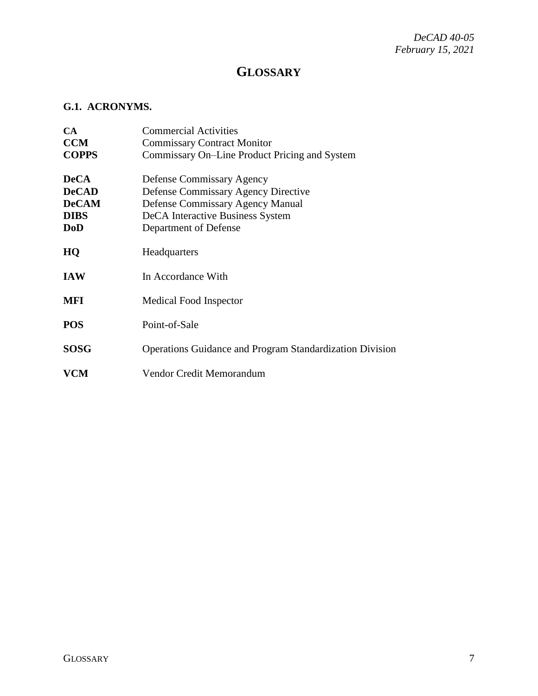*DeCAD 40-05 February 15, 2021*

## **GLOSSARY**

### <span id="page-6-1"></span><span id="page-6-0"></span>**G.1. ACRONYMS.**

| <b>CA</b>    | <b>Commercial Activities</b>                                    |
|--------------|-----------------------------------------------------------------|
| <b>CCM</b>   | <b>Commissary Contract Monitor</b>                              |
| <b>COPPS</b> | Commissary On–Line Product Pricing and System                   |
| <b>DeCA</b>  | <b>Defense Commissary Agency</b>                                |
| <b>DeCAD</b> | <b>Defense Commissary Agency Directive</b>                      |
| <b>DeCAM</b> | Defense Commissary Agency Manual                                |
| <b>DIBS</b>  | DeCA Interactive Business System                                |
| DoD          | Department of Defense                                           |
| HQ           | Headquarters                                                    |
| <b>IAW</b>   | In Accordance With                                              |
| MFI          | Medical Food Inspector                                          |
| <b>POS</b>   | Point-of-Sale                                                   |
| <b>SOSG</b>  | <b>Operations Guidance and Program Standardization Division</b> |
| <b>VCM</b>   | Vendor Credit Memorandum                                        |
|              |                                                                 |